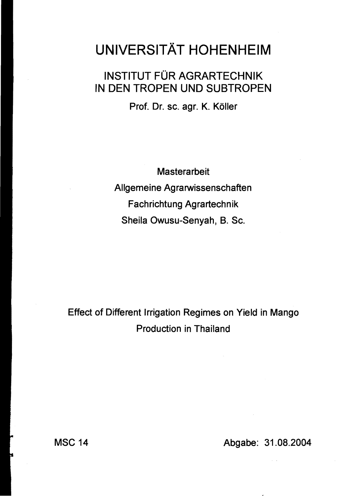## **UNIVERSITÄT HOHENHEIM**

## INSTITUT FÜR AGRARTECHNIK IN DEN TROPEN UND SUBTROPEN

Prof. Dr. sc. agr. K. Köller

**Masterarbeit** Allgemeine Agrarwissenschaften Fachrichtung Agrartechnik Sheila Owusu-Senyah, B. Sc.

Effect of Different Irrigation Regimes on Yield in Mango Production in Thailand

MSC 14 Abgabe: 31.08.2004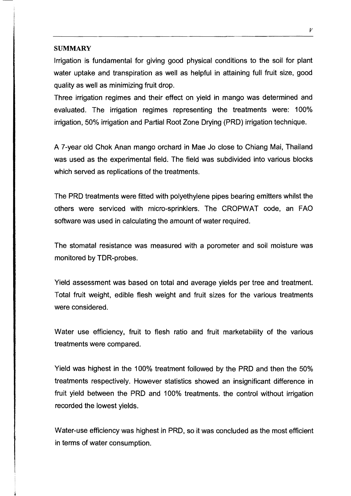## **SUMMARY**

Irrigation is fundamental for giving good physical conditions to the soil for plant water uptake and transpiration as weil as helpful in attaining full fruit size, good quality as weil as minimizing fruit drop.

Three irrigation regimes and their effect on yield in mango was determined and evaluated. The irrigation regimes representing the treatments were: 100% irrigation, 50% irrigation and Partial Root Zone Orying (PRO) irrigation technique.

A 7 -year old Chok Anan mango orchard in Mae Jo elose to Chiang Mai, Thailand was used as the experimental field. The field was subdivided into various blocks which served as replications of the treatments.

The PRO treatments were fitted with polyethylene pipes bearing emitters whilst the others were serviced with rnicro-sprinklers. The CROPWAT code, an FAO software was used in calculating the amount of water required.

The stomatal resistance was measured with a porometer and soil moisture was monitored by TOR-probes.

Yield assessment was based on total and average yields per tree and treatment. Total fruit weight, edible flesh weight and fruit sizes for the various treatments were considered.

Water use efficiency, fruit to flesh ratio and fruit marketability of the various treatments were compared.

Yield was highest in the 100% treatment followed by the PRO and then the 50% treatments respectively. However statistics showed an insignificant difference in fruit yield between the PRO and 100% treatments. the control without irrigation recorded the lowest yields.

Water-use efficiency was highest in PRD, so it was concluded as the most efficient in terms of water consumption.